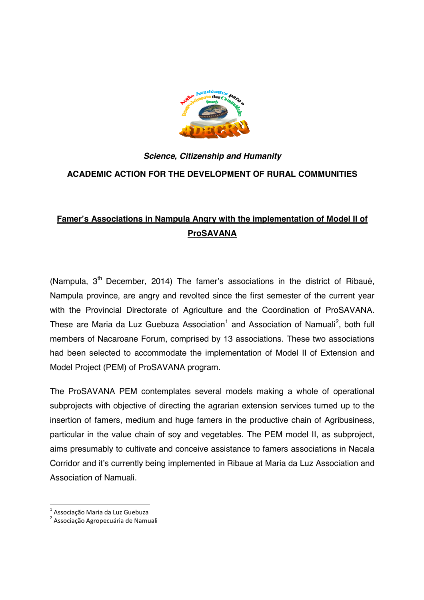

## *Science, Citizenship and Humanity*  **ACADEMIC ACTION FOR THE DEVELOPMENT OF RURAL COMMUNITIES**

## **Famer's Associations in Nampula Angry with the implementation of Model II of ProSAVANA**

(Nampula,  $3<sup>th</sup>$  December, 2014) The famer's associations in the district of Ribaué, Nampula province, are angry and revolted since the first semester of the current year with the Provincial Directorate of Agriculture and the Coordination of ProSAVANA. These are Maria da Luz Guebuza Association<sup>1</sup> and Association of Namuali<sup>2</sup>, both full members of Nacaroane Forum, comprised by 13 associations. These two associations had been selected to accommodate the implementation of Model II of Extension and Model Project (PEM) of ProSAVANA program.

The ProSAVANA PEM contemplates several models making a whole of operational subprojects with objective of directing the agrarian extension services turned up to the insertion of famers, medium and huge famers in the productive chain of Agribusiness, particular in the value chain of soy and vegetables. The PEM model II, as subproject, aims presumably to cultivate and conceive assistance to famers associations in Nacala Corridor and it's currently being implemented in Ribaue at Maria da Luz Association and Association of Namuali.

**.** 

<sup>&</sup>lt;sup>1</sup> Associação Maria da Luz Guebuza

<sup>&</sup>lt;sup>2</sup> Associação Agropecuária de Namuali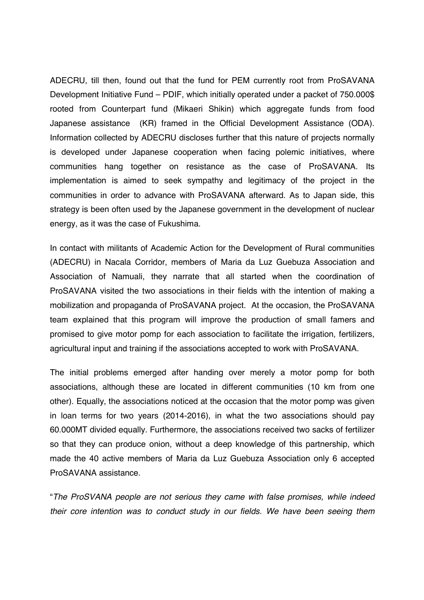ADECRU, till then, found out that the fund for PEM currently root from ProSAVANA Development Initiative Fund – PDIF, which initially operated under a packet of 750.000\$ rooted from Counterpart fund (Mikaeri Shikin) which aggregate funds from food Japanese assistance (KR) framed in the Official Development Assistance (ODA). Information collected by ADECRU discloses further that this nature of projects normally is developed under Japanese cooperation when facing polemic initiatives, where communities hang together on resistance as the case of ProSAVANA. Its implementation is aimed to seek sympathy and legitimacy of the project in the communities in order to advance with ProSAVANA afterward. As to Japan side, this strategy is been often used by the Japanese government in the development of nuclear energy, as it was the case of Fukushima.

In contact with militants of Academic Action for the Development of Rural communities (ADECRU) in Nacala Corridor, members of Maria da Luz Guebuza Association and Association of Namuali, they narrate that all started when the coordination of ProSAVANA visited the two associations in their fields with the intention of making a mobilization and propaganda of ProSAVANA project. At the occasion, the ProSAVANA team explained that this program will improve the production of small famers and promised to give motor pomp for each association to facilitate the irrigation, fertilizers, agricultural input and training if the associations accepted to work with ProSAVANA.

The initial problems emerged after handing over merely a motor pomp for both associations, although these are located in different communities (10 km from one other). Equally, the associations noticed at the occasion that the motor pomp was given in loan terms for two years (2014-2016), in what the two associations should pay 60.000MT divided equally. Furthermore, the associations received two sacks of fertilizer so that they can produce onion, without a deep knowledge of this partnership, which made the 40 active members of Maria da Luz Guebuza Association only 6 accepted ProSAVANA assistance.

"*The ProSVANA people are not serious they came with false promises, while indeed their core intention was to conduct study in our fields. We have been seeing them*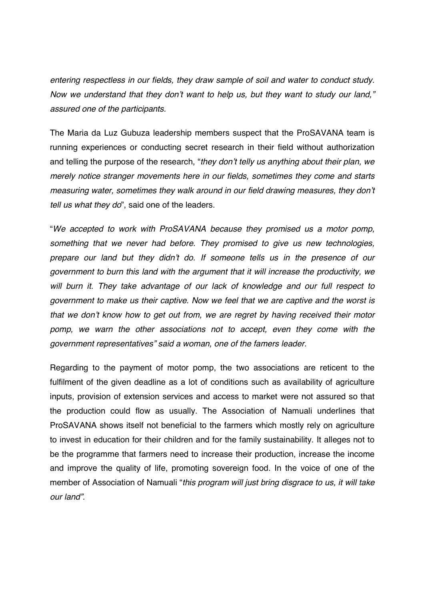*entering respectless in our fields, they draw sample of soil and water to conduct study. Now we understand that they don't want to help us, but they want to study our land," assured one of the participants.* 

The Maria da Luz Gubuza leadership members suspect that the ProSAVANA team is running experiences or conducting secret research in their field without authorization and telling the purpose of the research, "*they don't telly us anything about their plan, we merely notice stranger movements here in our fields, sometimes they come and starts measuring water, sometimes they walk around in our field drawing measures, they don't tell us what they do*", said one of the leaders.

"*We accepted to work with ProSAVANA because they promised us a motor pomp, something that we never had before. They promised to give us new technologies, prepare our land but they didn't do. If someone tells us in the presence of our government to burn this land with the argument that it will increase the productivity, we will burn it. They take advantage of our lack of knowledge and our full respect to government to make us their captive. Now we feel that we are captive and the worst is that we don't know how to get out from, we are regret by having received their motor pomp, we warn the other associations not to accept, even they come with the government representatives" said a woman, one of the famers leader.* 

Regarding to the payment of motor pomp, the two associations are reticent to the fulfilment of the given deadline as a lot of conditions such as availability of agriculture inputs, provision of extension services and access to market were not assured so that the production could flow as usually. The Association of Namuali underlines that ProSAVANA shows itself not beneficial to the farmers which mostly rely on agriculture to invest in education for their children and for the family sustainability. It alleges not to be the programme that farmers need to increase their production, increase the income and improve the quality of life, promoting sovereign food. In the voice of one of the member of Association of Namuali "*this program will just bring disgrace to us, it will take our land".*